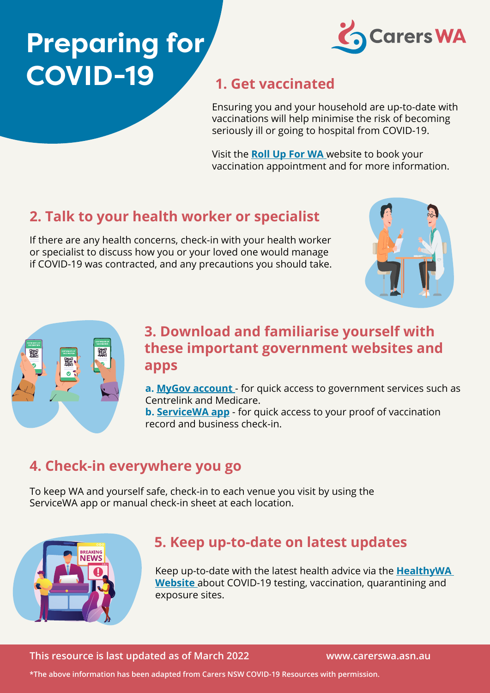# **Preparing for COVID-19 1. Get vaccinated**



Ensuring you and your household are up-to-date with vaccinations will help minimise the risk of becoming seriously ill or going to hospital from COVID-19.

Visit the **[Roll Up For WA](https://rollup.wa.gov.au/)** website to book your vaccination appointment and for more information.

# **2. Talk to your health worker or specialist**

If there are any health concerns, check-in with your health worker or specialist to discuss how you or your loved one would manage if COVID-19 was contracted, and any precautions you should take.





#### **3. Download and familiarise yourself with these important government websites and apps**

**a. [MyGov account](https://my.gov.au/LoginServices/main/login?execution=e2s1)** - for quick access to government services such as Centrelink and Medicare.

**b. [ServiceWA app](https://www.wa.gov.au/government/multi-step-guides/servicewa-app-support)** - for quick access to your proof of vaccination record and business check-in.

## **4. Check-in everywhere you go**

To keep WA and yourself safe, check-in to each venue you visit by using the ServiceWA app or manual check-in sheet at each location.



### **5. Keep up-to-date on latest updates**

Keep up-to-date with the latest health advice via the **[HealthyWA](https://www.healthywa.wa.gov.au/Articles/A_E/Coronavirus)  [Website](https://www.healthywa.wa.gov.au/Articles/A_E/Coronavirus)** about COVID-19 testing, vaccination, quarantining and exposure sites.

**This resource is last updated as of March 2022 www.carerswa.asn.au** 

**\*The above information has been adapted from Carers NSW COVID-19 Resources with permission.**